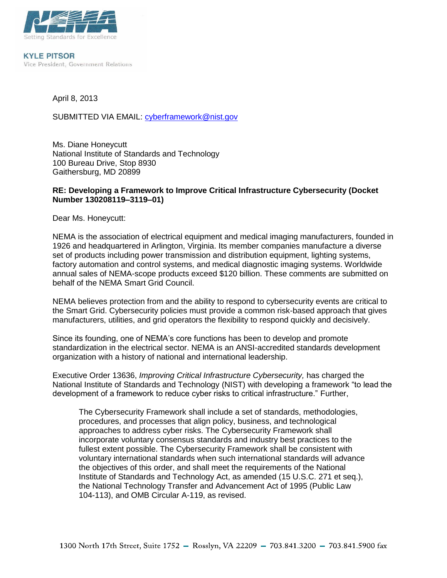

**KYLE PITSOR** Vice President, Government Relations

April 8, 2013

SUBMITTED VIA EMAIL: [cyberframework@nist.gov](mailto:cyberframework@nist.gov)

Ms. Diane Honeycutt National Institute of Standards and Technology 100 Bureau Drive, Stop 8930 Gaithersburg, MD 20899

### **RE: Developing a Framework to Improve Critical Infrastructure Cybersecurity (Docket Number 130208119–3119–01)**

Dear Ms. Honeycutt:

NEMA is the association of electrical equipment and medical imaging manufacturers, founded in 1926 and headquartered in Arlington, Virginia. Its member companies manufacture a diverse set of products including power transmission and distribution equipment, lighting systems, factory automation and control systems, and medical diagnostic imaging systems. Worldwide annual sales of NEMA-scope products exceed \$120 billion. These comments are submitted on behalf of the NEMA Smart Grid Council.

NEMA believes protection from and the ability to respond to cybersecurity events are critical to the Smart Grid. Cybersecurity policies must provide a common risk-based approach that gives manufacturers, utilities, and grid operators the flexibility to respond quickly and decisively.

Since its founding, one of NEMA's core functions has been to develop and promote standardization in the electrical sector. NEMA is an ANSI-accredited standards development organization with a history of national and international leadership.

Executive Order 13636, *Improving Critical Infrastructure Cybersecurity,* has charged the National Institute of Standards and Technology (NIST) with developing a framework "to lead the development of a framework to reduce cyber risks to critical infrastructure." Further,

The Cybersecurity Framework shall include a set of standards, methodologies, procedures, and processes that align policy, business, and technological approaches to address cyber risks. The Cybersecurity Framework shall incorporate voluntary consensus standards and industry best practices to the fullest extent possible. The Cybersecurity Framework shall be consistent with voluntary international standards when such international standards will advance the objectives of this order, and shall meet the requirements of the National Institute of Standards and Technology Act, as amended (15 U.S.C. 271 et seq.), the National Technology Transfer and Advancement Act of 1995 (Public Law 104-113), and OMB Circular A-119, as revised.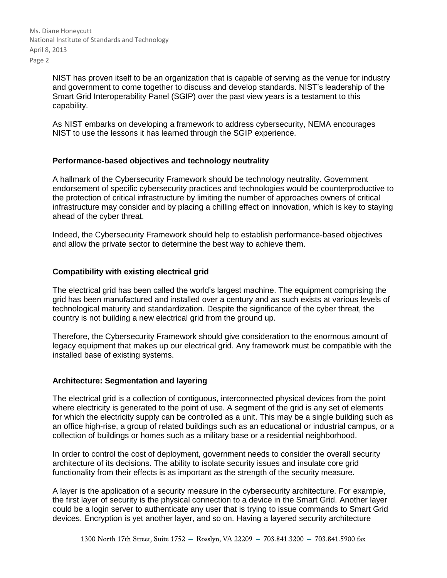Ms. Diane Honeycutt National Institute of Standards and Technology April 8, 2013 Page 2

> NIST has proven itself to be an organization that is capable of serving as the venue for industry and government to come together to discuss and develop standards. NIST's leadership of the Smart Grid Interoperability Panel (SGIP) over the past view years is a testament to this capability.

As NIST embarks on developing a framework to address cybersecurity, NEMA encourages NIST to use the lessons it has learned through the SGIP experience.

## **Performance-based objectives and technology neutrality**

A hallmark of the Cybersecurity Framework should be technology neutrality. Government endorsement of specific cybersecurity practices and technologies would be counterproductive to the protection of critical infrastructure by limiting the number of approaches owners of critical infrastructure may consider and by placing a chilling effect on innovation, which is key to staying ahead of the cyber threat.

Indeed, the Cybersecurity Framework should help to establish performance-based objectives and allow the private sector to determine the best way to achieve them.

## **Compatibility with existing electrical grid**

The electrical grid has been called the world's largest machine. The equipment comprising the grid has been manufactured and installed over a century and as such exists at various levels of technological maturity and standardization. Despite the significance of the cyber threat, the country is not building a new electrical grid from the ground up.

Therefore, the Cybersecurity Framework should give consideration to the enormous amount of legacy equipment that makes up our electrical grid. Any framework must be compatible with the installed base of existing systems.

#### **Architecture: Segmentation and layering**

The electrical grid is a collection of contiguous, interconnected physical devices from the point where electricity is generated to the point of use. A segment of the grid is any set of elements for which the electricity supply can be controlled as a unit. This may be a single building such as an office high-rise, a group of related buildings such as an educational or industrial campus, or a collection of buildings or homes such as a military base or a residential neighborhood.

In order to control the cost of deployment, government needs to consider the overall security architecture of its decisions. The ability to isolate security issues and insulate core grid functionality from their effects is as important as the strength of the security measure.

A layer is the application of a security measure in the cybersecurity architecture. For example, the first layer of security is the physical connection to a device in the Smart Grid. Another layer could be a login server to authenticate any user that is trying to issue commands to Smart Grid devices. Encryption is yet another layer, and so on. Having a layered security architecture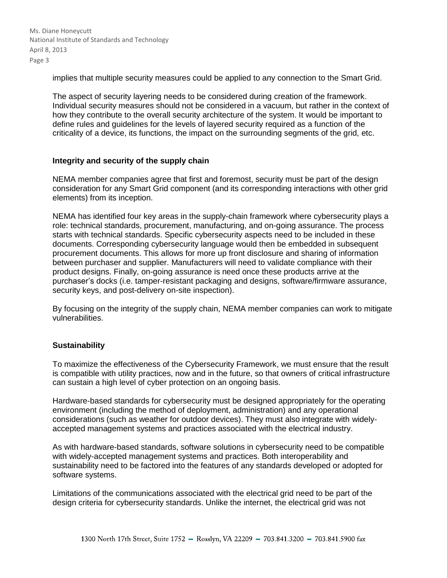Ms. Diane Honeycutt National Institute of Standards and Technology April 8, 2013 Page 3

implies that multiple security measures could be applied to any connection to the Smart Grid.

The aspect of security layering needs to be considered during creation of the framework. Individual security measures should not be considered in a vacuum, but rather in the context of how they contribute to the overall security architecture of the system. It would be important to define rules and guidelines for the levels of layered security required as a function of the criticality of a device, its functions, the impact on the surrounding segments of the grid, etc.

## **Integrity and security of the supply chain**

NEMA member companies agree that first and foremost, security must be part of the design consideration for any Smart Grid component (and its corresponding interactions with other grid elements) from its inception.

NEMA has identified four key areas in the supply-chain framework where cybersecurity plays a role: technical standards, procurement, manufacturing, and on-going assurance. The process starts with technical standards. Specific cybersecurity aspects need to be included in these documents. Corresponding cybersecurity language would then be embedded in subsequent procurement documents. This allows for more up front disclosure and sharing of information between purchaser and supplier. Manufacturers will need to validate compliance with their product designs. Finally, on-going assurance is need once these products arrive at the purchaser's docks (i.e. tamper-resistant packaging and designs, software/firmware assurance, security keys, and post-delivery on-site inspection).

By focusing on the integrity of the supply chain, NEMA member companies can work to mitigate vulnerabilities.

# **Sustainability**

To maximize the effectiveness of the Cybersecurity Framework, we must ensure that the result is compatible with utility practices, now and in the future, so that owners of critical infrastructure can sustain a high level of cyber protection on an ongoing basis.

Hardware-based standards for cybersecurity must be designed appropriately for the operating environment (including the method of deployment, administration) and any operational considerations (such as weather for outdoor devices). They must also integrate with widelyaccepted management systems and practices associated with the electrical industry.

As with hardware-based standards, software solutions in cybersecurity need to be compatible with widely-accepted management systems and practices. Both interoperability and sustainability need to be factored into the features of any standards developed or adopted for software systems.

Limitations of the communications associated with the electrical grid need to be part of the design criteria for cybersecurity standards. Unlike the internet, the electrical grid was not